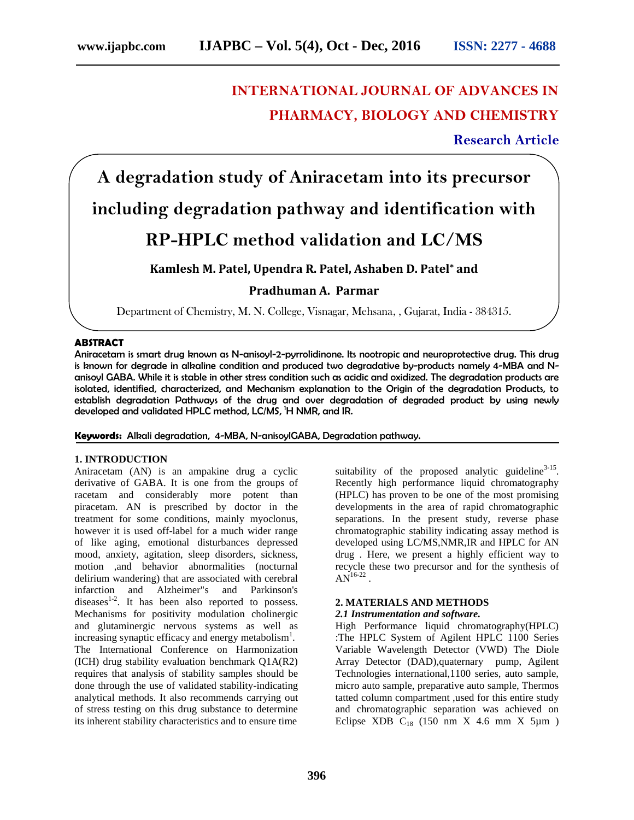## **INTERNATIONAL JOURNAL OF ADVANCES IN PHARMACY, BIOLOGY AND CHEMISTRY**

**Research Article**

# **A degradation study of Aniracetam into its precursor including degradation pathway and identification with**

### **RP-HPLC method validation and LC/MS**

### **Kamlesh M. Patel, Upendra R. Patel, Ashaben D. Patel\* and**

#### **Pradhuman A. Parmar**

Department of Chemistry, M. N. College, Visnagar, Mehsana, , Gujarat, India - 384315.

#### **ABSTRACT**

Aniracetam is smart drug known as N-anisoyl-2-pyrrolidinone. Its nootropic and neuroprotective drug. This drug is known for degrade in alkaline condition and produced two degradative by-products namely 4-MBA and N anisoyl GABA. While it is stable in other stress condition such as acidic and oxidized. The degradation products are isolated, identified, characterized, and Mechanism explanation to the Origin of the degradation Products, to establish degradation Pathways of the drug and over degradation of degraded product by using newly developed and validated HPLC method, LC/MS, <sup>1</sup>H NMR, and IR.

#### **Keywords:** Alkali degradation, 4-MBA, N-anisoylGABA, Degradation pathway.

#### **1. INTRODUCTION**

Aniracetam (AN) is an ampakine drug a cyclic derivative of GABA. It is one from the groups of racetam and considerably more potent than piracetam. AN is prescribed by doctor in the treatment for some conditions, mainly myoclonus, however it is used off-label for a much wider range of like aging, emotional disturbances depressed mood, anxiety, agitation, sleep disorders, sickness, motion ,and behavior abnormalities (nocturnal delirium wandering) that are associated with cerebral infarction and Alzheimer"s and Parkinson's diseases $1-2$ . It has been also reported to possess. Mechanisms for positivity modulation cholinergic and glutaminergic nervous systems as well as increasing synaptic efficacy and energy metabolism<sup>1</sup>. The International Conference on Harmonization (ICH) drug stability evaluation benchmark Q1A(R2) requires that analysis of stability samples should be done through the use of validated stability-indicating analytical methods. It also recommends carrying out of stress testing on this drug substance to determine its inherent stability characteristics and to ensure time

suitability of the proposed analytic guideline $3-15$ . Recently high performance liquid chromatography (HPLC) has proven to be one of the most promising developments in the area of rapid chromatographic separations. In the present study, reverse phase chromatographic stability indicating assay method is developed using LC/MS,NMR,IR and HPLC for AN drug . Here, we present a highly efficient way to recycle these two precursor and for the synthesis of  $AN^{16-22}$  .

#### **2. MATERIALS AND METHODS**

#### *2.1 Instrumentation and software.*

High Performance liquid chromatography(HPLC) :The HPLC System of Agilent HPLC 1100 Series Variable Wavelength Detector (VWD) The Diole Array Detector (DAD),quaternary pump, Agilent Technologies international,1100 series, auto sample, micro auto sample, preparative auto sample, Thermos tatted column compartment ,used for this entire study and chromatographic separation was achieved on Eclipse XDB  $C_{18}$  (150 nm X 4.6 mm X 5 $\mu$ m)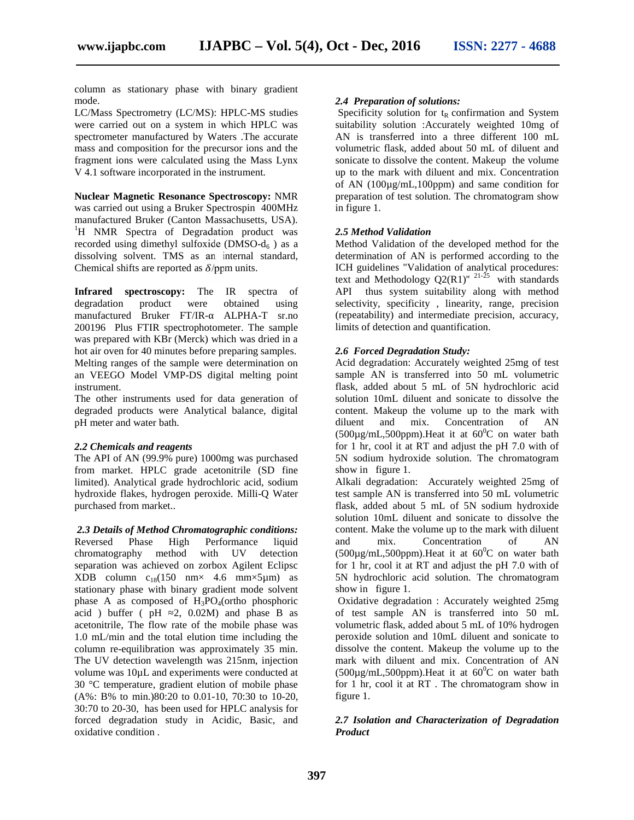column as stationary phase with binary gradient mode.

LC/Mass Spectrometry (LC/MS): HPLC-MS studies were carried out on a system in which HPLC was spectrometer manufactured by Waters .The accurate mass and composition for the precursor ions and the fragment ions were calculated using the Mass Lynx V 4.1 software incorporated in the instrument.

**Nuclear Magnetic Resonance Spectroscopy:** NMR was carried out using a Bruker Spectrospin 400MHz manufactured Bruker (Canton Massachusetts, USA).<br><sup>1</sup>H NMR Spectra of Degradation product was recorded using dimethyl sulfoxide (DMSO- $d_6$ ) as a dissolving solvent. TMS as an internal standard, Chemical shifts are reported as  $\delta$ /ppm units.

**Infrared spectroscopy:** The IR spectra of degradation product were obtained using manufactured Bruker FT/IR- ALPHA-T sr.no 200196 Plus FTIR spectrophotometer. The sample was prepared with KBr (Merck) which was dried in a hot air oven for 40 minutes before preparing samples. Melting ranges of the sample were determination on an VEEGO Model VMP-DS digital melting point instrument.

The other instruments used for data generation of degraded products were Analytical balance, digital pH meter and water bath.

#### *2.2 Chemicals and reagents*

The API of AN (99.9% pure) 1000mg was purchased from market. HPLC grade acetonitrile (SD fine limited). Analytical grade hydrochloric acid, sodium hydroxide flakes, hydrogen peroxide. Milli-Q Water purchased from market..

*2.3 Details of Method Chromatographic conditions:* Reversed Phase High Performance liquid chromatography method with UV detection separation was achieved on zorbox Agilent Eclipsc  $XDB$  column  $c_{18}(150$  nm $\times$  4.6 mm $\times$ 5µm) as stationary phase with binary gradient mode solvent phase A as composed of  $H_3PO_4$ (ortho phosphoric acid ) buffer ( $pH = 2$ , 0.02M) and phase B as acetonitrile, The flow rate of the mobile phase was 1.0 mL/min and the total elution time including the column re-equilibration was approximately 35 min. The UV detection wavelength was 215nm, injection volume was 10µL and experiments were conducted at 30 °C temperature, gradient elution of mobile phase (A%: B% to min.)80:20 to 0.01-10, 70:30 to 10-20, 30:70 to 20-30, has been used for HPLC analysis for forced degradation study in Acidic, Basic, and oxidative condition .

#### *2.4 Preparation of solutions:*

Specificity solution for  $t_R$  confirmation and System suitability solution :Accurately weighted 10mg of AN is transferred into a three different 100 mL volumetric flask, added about 50 mL of diluent and sonicate to dissolve the content. Makeup the volume up to the mark with diluent and mix. Concentration of AN (100µg/mL,100ppm) and same condition for preparation of test solution. The chromatogram show in figure 1.

#### *2.5 Method Validation*

Method Validation of the developed method for the determination of AN is performed according to the ICH guidelines "Validation of analytical procedures: text and Methodology  $Q2(R1)^{n-21-25}$  with standards API thus system suitability along with method selectivity, specificity , linearity, range, precision (repeatability) and intermediate precision, accuracy, limits of detection and quantification.

#### *2.6 Forced Degradation Study:*

Acid degradation: Accurately weighted 25mg of test sample AN is transferred into 50 mL volumetric flask, added about 5 mL of 5N hydrochloric acid solution 10mL diluent and sonicate to dissolve the content. Makeup the volume up to the mark with diluent and mix. Concentration of AN  $(500\mu g/mL, 500ppm)$ . Heat it at  $60^{\circ}$ C on water bath for 1 hr, cool it at RT and adjust the pH 7.0 with of 5N sodium hydroxide solution. The chromatogram show in figure 1.

Alkali degradation: Accurately weighted 25mg of test sample AN is transferred into 50 mL volumetric flask, added about 5 mL of 5N sodium hydroxide solution 10mL diluent and sonicate to dissolve the content. Make the volume up to the mark with diluent mix. Concentration of AN  $(500\mu g/mL, 500ppm)$ . Heat it at  $60^{\circ}$ C on water bath for 1 hr, cool it at RT and adjust the pH 7.0 with of 5N hydrochloric acid solution. The chromatogram show in figure 1.

Oxidative degradation : Accurately weighted 25mg of test sample AN is transferred into 50 mL volumetric flask, added about 5 mL of 10% hydrogen peroxide solution and 10mL diluent and sonicate to dissolve the content. Makeup the volume up to the mark with diluent and mix. Concentration of AN  $(500\mu)$ g/mL,500ppm). Heat it at  $60^{\circ}$ C on water bath for 1 hr, cool it at RT . The chromatogram show in figure 1.

#### *2.7 Isolation and Characterization of Degradation Product*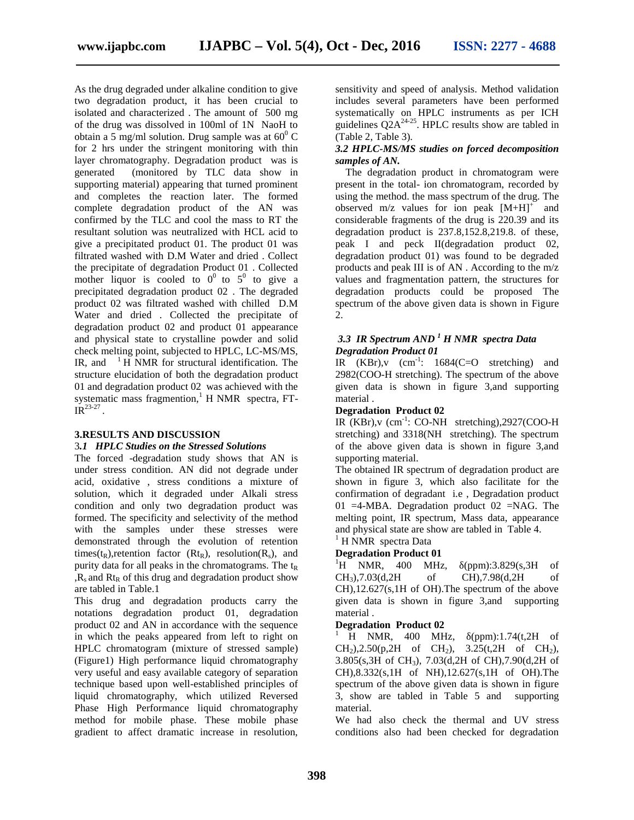As the drug degraded under alkaline condition to give two degradation product, it has been crucial to isolated and characterized . The amount of 500 mg of the drug was dissolved in 100ml of 1N NaoH to obtain a 5 mg/ml solution. Drug sample was at  $60^{\circ}$  C  $\qquad\qquad$  (Ta for 2 hrs under the stringent monitoring with thin layer chromatography. Degradation product was is generated (monitored by TLC data show in supporting material) appearing that turned prominent and completes the reaction later. The formed complete degradation product of the AN was confirmed by the TLC and cool the mass to RT the resultant solution was neutralized with HCL acid to give a precipitated product 01. The product 01 was filtrated washed with D.M Water and dried . Collect the precipitate of degradation Product 01 . Collected mother liquor is cooled to  $0^0$  to  $5^0$  to give a precipitated degradation product 02 . The degraded product 02 was filtrated washed with chilled D.M Water and dried . Collected the precipitate of degradation product 02 and product 01 appearance and physical state to crystalline powder and solid check melting point, subjected to HPLC, LC-MS/MS, IR, and  $^{-1}$  H NMR for structural identification. The structure elucidation of both the degradation product 01 and degradation product 02 was achieved with the systematic mass fragmention, $<sup>1</sup>$  H NMR spectra, FT-</sup>  $IR^{23-27}$ .

#### **3.RESULTS AND DISCUSSION**

#### 3*.1 HPLC Studies on the Stressed Solutions*

The forced -degradation study shows that AN is under stress condition. AN did not degrade under acid, oxidative , stress conditions a mixture of solution, which it degraded under Alkali stress condition and only two degradation product was formed. The specificity and selectivity of the method with the samples under these stresses were demonstrated through the evolution of retention <sup>1</sup>HNMR spectra Data times( $t_R$ ),retention factor ( $Rt_R$ ), resolution( $R_s$ ), and purity data for all peaks in the chromatograms. The  $t_R$  $R_s$  and  $Rt_R$  of this drug and degradation product show are tabled in Table.1

This drug and degradation products carry the notations degradation product 01, degradation product 02 and AN in accordance with the sequence in which the peaks appeared from left to right on HPLC chromatogram (mixture of stressed sample) (Figure1) High performance liquid chromatography very useful and easy available category of separation technique based upon well-established principles of liquid chromatography, which utilized Reversed Phase High Performance liquid chromatography method for mobile phase. These mobile phase gradient to affect dramatic increase in resolution,

sensitivity and speed of analysis. Method validation includes several parameters have been performed systematically on HPLC instruments as per ICH guidelines  $Q2A^{24-25}$ . HPLC results show are tabled in (Table 2, Table 3).

#### *3.2 HPLC-MS/MS studies on forced decomposition samples of AN.*

The degradation product in chromatogram were present in the total- ion chromatogram, recorded by using the method. the mass spectrum of the drug. The observed  $m/z$  values for ion peak  $[M+H]$ <sup>+</sup> and considerable fragments of the drug is 220.39 and its degradation product is 237.8,152.8,219.8. of these, peak I and peck II(degradation product 02, degradation product 01) was found to be degraded products and peak III is of AN . According to the m/z values and fragmentation pattern, the structures for degradation products could be proposed The spectrum of the above given data is shown in Figure 2.

#### *3.3 IR Spectrum AND <sup>1</sup> H NMR spectra Data Degradation Product 01*

IR  $(KBr)$ , v  $(cm^{-1}: 1684(C=O \text{ stretching})$  and 2982(COO-H stretching). The spectrum of the above given data is shown in figure 3,and supporting material .

#### **Degradation Product 02**

IR  $(KBr)$ , v (cm<sup>-1</sup>: CO-NH stretching), 2927(COO-H stretching) and 3318(NH stretching). The spectrum of the above given data is shown in figure 3,and supporting material.

The obtained IR spectrum of degradation product are shown in figure 3, which also facilitate for the confirmation of degradant i.e , Degradation product 01 = 4-MBA. Degradation product 02 = NAG. The melting point, IR spectrum, Mass data, appearance and physical state are show are tabled in Table 4.

#### **Degradation Product 01**

 ${}^{1}$ H NMR, 400 MHz, (ppm):3.829(s,3H of CH3),7.03(d,2H of CH),7.98(d,2H of CH),12.627(s,1H of OH).The spectrum of the above given data is shown in figure 3,and supporting material .

#### **Degradation Product 02**

H NMR,  $400$  MHz,  $(ppm):1.74(t,2H)$  of  $CH<sub>2</sub>$ ),2.50(p,2H of  $CH<sub>2</sub>$ ), 3.25(t,2H of  $CH<sub>2</sub>$ ), 3.805(s,3H of CH3), 7.03(d,2H of CH),7.90(d,2H of CH),8.332(s,1H of NH),12.627(s,1H of OH).The spectrum of the above given data is shown in figure 3, show are tabled in Table 5 and supporting material.

We had also check the thermal and UV stress conditions also had been checked for degradation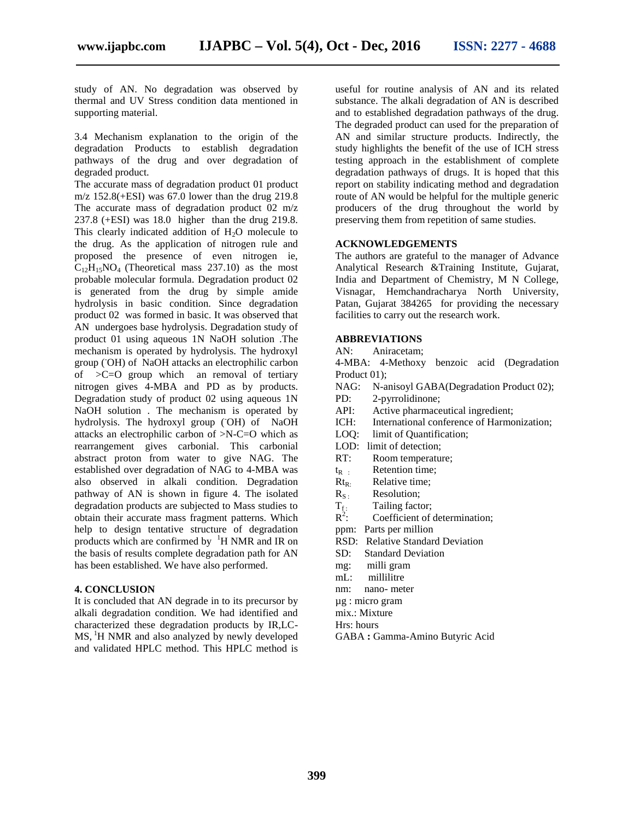study of AN. No degradation was observed by thermal and UV Stress condition data mentioned in supporting material.

3.4 Mechanism explanation to the origin of the degradation Products to establish degradation pathways of the drug and over degradation of degraded product.

The accurate mass of degradation product 01 product m/z  $152.8(+ESI)$  was 67.0 lower than the drug 219.8 The accurate mass of degradation product 02 m/z 237.8 (+ESI) was 18.0 higher than the drug 219.8. This clearly indicated addition of  $H_2O$  molecule to the drug. As the application of nitrogen rule and proposed the presence of even nitrogen ie,  $C_{12}H_{15}NO_4$  (Theoretical mass 237.10) as the most probable molecular formula. Degradation product 02 is generated from the drug by simple amide hydrolysis in basic condition. Since degradation product 02 was formed in basic. It was observed that AN undergoes base hydrolysis. Degradation study of product 01 using aqueous 1N NaOH solution .The mechanism is operated by hydrolysis. The hydroxyl group (-OH) of NaOH attacks an electrophilic carbon of >C=O group which an removal of tertiary nitrogen gives 4-MBA and PD as by products. Degradation study of product 02 using aqueous 1N PD: NaOH solution . The mechanism is operated by API: hydrolysis. The hydroxyl group (OH) of NaOH ICH: attacks an electrophilic carbon of >N-C=O which as rearrangement gives carbonial. This carbonial abstract proton from water to give NAG. The established over degradation of NAG to 4-MBA was also observed in alkali condition. Degradation Rt<sub>R:</sub> pathway of AN is shown in figure 4. The isolated  $R_{S}$ . degradation products are subjected to Mass studies to obtain their accurate mass fragment patterns. Which help to design tentative structure of degradation products which are confirmed by  ${}^{1}H$  NMR and IR on the basis of results complete degradation path for AN has been established. We have also performed.

#### **4. CONCLUSION**

It is concluded that AN degrade in to its precursor by alkali degradation condition. We had identified and characterized these degradation products by IR,LC- MS, <sup>1</sup>H NMR and also analyzed by newly developed and validated HPLC method. This HPLC method is

useful for routine analysis of AN and its related substance. The alkali degradation of AN is described and to established degradation pathways of the drug. The degraded product can used for the preparation of AN and similar structure products. Indirectly, the study highlights the benefit of the use of ICH stress testing approach in the establishment of complete degradation pathways of drugs. It is hoped that this report on stability indicating method and degradation route of AN would be helpful for the multiple generic producers of the drug throughout the world by preserving them from repetition of same studies.

#### **ACKNOWLEDGEMENTS**

The authors are grateful to the manager of Advance Analytical Research &Training Institute, Gujarat, India and Department of Chemistry, M N College, Visnagar, Hemchandracharya North University, Patan, Gujarat 384265 for providing the necessary facilities to carry out the research work.

#### **ABBREVIATIONS**

AN: Aniracetam;

4-MBA: 4-Methoxy benzoic acid (Degradation Product 01):

- NAG: N-anisoyl GABA(Degradation Product 02);
- 2-pyrrolidinone;
- Active pharmaceutical ingredient;
- International conference of Harmonization;
- LOQ: limit of Quantification;
- LOD: limit of detection:
- RT: Room temperature;
- $t_{R}$  : Retention time;
- Relative time:
- Resolution;
- Tailing factor;  $T_{f}$ :<br> $R^2$ :
- $R^2$ : Coefficient of determination;
- ppm: Parts per million
- RSD: Relative Standard Deviation
- Standard Deviation
- mg: milli gram
- mL: millilitre
- nm: nano- meter
- µg : micro gram
- mix.: Mixture
- Hrs: hours
- GABA **:** Gamma-Amino Butyric Acid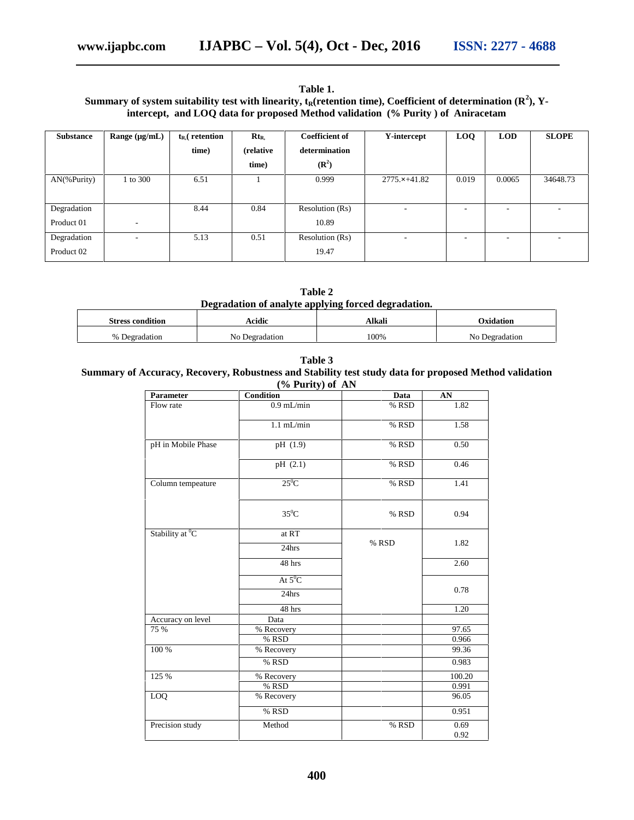#### **Table 1.** Summary of system suitability test with linearity,  $t_R$ (retention time), Coefficient of determination  $(R^2)$ , Y**intercept, and LOQ data for proposed Method validation (% Purity ) of Aniracetam**

| <b>Substance</b> | Range $(\mu g/mL)$       | $t_{R}$ retention | $Rt_{R.}$ | <b>Coefficient of</b> | Y-intercept           | <b>LOQ</b> | <b>LOD</b> | <b>SLOPE</b> |
|------------------|--------------------------|-------------------|-----------|-----------------------|-----------------------|------------|------------|--------------|
|                  |                          | time)             | (relative | determination         |                       |            |            |              |
|                  |                          |                   | time)     | $(\mathbb{R}^2)$      |                       |            |            |              |
| $AN$ (%Purity)   | 1 to 300                 | 6.51              |           | 0.999                 | $2775. \times +41.82$ | 0.019      | 0.0065     | 34648.73     |
|                  |                          |                   |           |                       |                       |            |            |              |
| Degradation      |                          | 8.44              | 0.84      | Resolution (Rs)       | ٠                     | ۰          | ۰          | $\sim$       |
| Product 01       | $\overline{\phantom{a}}$ |                   |           | 10.89                 |                       |            |            |              |
| Degradation      | $\overline{\phantom{a}}$ | 5.13              | 0.51      | Resolution (Rs)       | ٠                     | ۰          | ۰          | $\sim$       |
| Product 02       |                          |                   |           | 19.47                 |                       |            |            |              |

**Table 2 Degradation of analyte applying forced degradation.**

| <b>Stress condition</b> | Acidic      | Alkali | <b>Dxidation</b>   |
|-------------------------|-------------|--------|--------------------|
| $\%$                    | No.         | 100%   | Nο                 |
| Degradation             | Degradation |        | <b>Degradation</b> |

**Table 3**

#### **Summary of Accuracy, Recovery, Robustness and Stability test study data for proposed Method validation (% Purity) of AN**

| Parameter                   | <b>Condition</b>   | Data  | AN           |
|-----------------------------|--------------------|-------|--------------|
| Flow rate                   | $0.9$ mL/min       | % RSD | 1.82         |
|                             | $1.1$ mL/min       | % RSD | 1.58         |
| pH in Mobile Phase          | pH (1.9)           | % RSD | 0.50         |
|                             | pH (2.1)           | % RSD | 0.46         |
| Column tempeature           | $25^0C$            | % RSD | 1.41         |
|                             | $35^0$ C           | % RSD | 0.94         |
| Stability at <sup>0</sup> C | at RT<br>24hrs     | % RSD | 1.82         |
|                             | 48 hrs             |       | 2.60         |
|                             | At $5^0C$<br>24hrs |       | 0.78         |
|                             | 48 hrs             |       | 1.20         |
| Accuracy on level           | Data               |       |              |
| 75 %                        | % Recovery         |       | 97.65        |
|                             | % RSD              |       | 0.966        |
| 100 %                       | % Recovery         |       | 99.36        |
|                             | % RSD              |       | 0.983        |
| 125 %                       | % Recovery         |       | 100.20       |
|                             | % RSD              |       | 0.991        |
| LOQ                         | % Recovery         |       | 96.05        |
|                             | % RSD              |       | 0.951        |
| Precision study             | Method             | % RSD | 0.69<br>0.92 |
|                             |                    |       |              |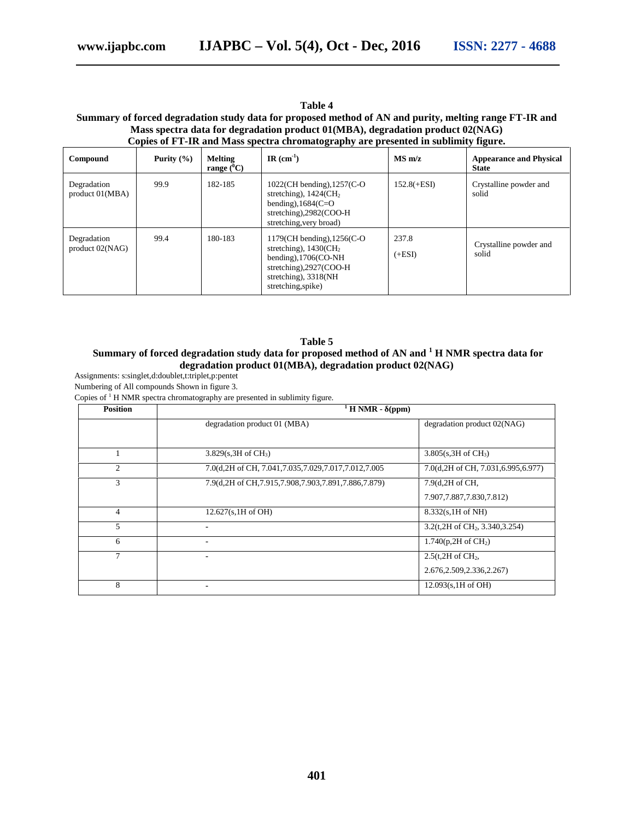#### **Table 4**

#### **Summary of forced degradation study data for proposed method of AN and purity, melting range FT-IR and Mass spectra data for degradation product 01(MBA), degradation product 02(NAG) Copies of FT-IR and Mass spectra chromatography are presented in sublimity figure.**

| Compound                          | Purity $(\% )$ | Melting<br>range $(^0C)$ | IR $(cm^{-1})$                                                                                                                                                               | $MS \, m/z$       | <b>Appearance and Physical</b><br><b>State</b> |
|-----------------------------------|----------------|--------------------------|------------------------------------------------------------------------------------------------------------------------------------------------------------------------------|-------------------|------------------------------------------------|
| Degradation<br>$product\ 01(MBA)$ | 99.9           | 182-185                  | $1022$ (CH bending), $1257$ (C-O<br>stretching), $1424$ (CH <sub>2</sub><br>bending), $1684$ (C=O<br>stretching), $2982$ (COO-H<br>stretching, very broad)                   | $152.8(+ESI)$     | Crystalline powder and<br>solid                |
| Degradation<br>$product\ 02(NAG)$ | 99.4           | 180-183                  | $1179$ (CH bending), $1256$ (C-O<br>stretching), $1430$ (CH <sub>2</sub><br>bending), $1706$ (CO-NH<br>stretching), 2927(COO-H<br>stretching), 3318(NH<br>stretching, spike) | 237.8<br>$(+ESI)$ | Crystalline powder and<br>solid                |

#### **Table 5**

#### **Summary of forced degradation study data for proposed method of AN and <sup>1</sup> H NMR spectra data for degradation product 01(MBA), degradation product 02(NAG)**

Assignments: s:singlet,d:doublet,t:triplet,p:pentet

Numbering of All compounds Shown in figure 3.

Copies of  $1$  H NMR spectra chromatography are presented in sublimity figure.

| <b>Position</b> | $\overline{H}$ NMR - (ppm)                                 |                                                |  |  |  |
|-----------------|------------------------------------------------------------|------------------------------------------------|--|--|--|
|                 | degradation product 01 (MBA)                               | degradation product 02(NAG)                    |  |  |  |
|                 |                                                            |                                                |  |  |  |
|                 | $3.829(s, 3H \text{ of } CH_3)$                            | $3.805(s, 3H \text{ of } CH_3)$                |  |  |  |
| $\mathfrak{2}$  | 7.0(d, 2H of CH, 7.041, 7.035, 7.029, 7.017, 7.012, 7.005  | 7.0(d, 2H of CH, 7.031, 6.995, 6.977)          |  |  |  |
| 3               | 7.9(d, 2H of CH, 7.915, 7.908, 7.903, 7.891, 7.886, 7.879) | 7.9(d, 2H of CH,                               |  |  |  |
|                 |                                                            | 7.907.7.887.7.830.7.812)                       |  |  |  |
| $\overline{4}$  | 12.627(s, 1H of OH)                                        | $8.332(s, 1H \text{ of NH})$                   |  |  |  |
| 5               |                                                            | $3.2$ (t,2H of CH <sub>2</sub> , 3.340, 3.254) |  |  |  |
| 6               | $\blacksquare$                                             | 1.740(p,2H of $CH2$ )                          |  |  |  |
| 7               |                                                            | $2.5$ (t, $2H$ of $CH2$ ,                      |  |  |  |
|                 |                                                            | 2.676, 2.509, 2.336, 2.267)                    |  |  |  |
| 8               |                                                            | $12.093(s, 1H \text{ of } OH)$                 |  |  |  |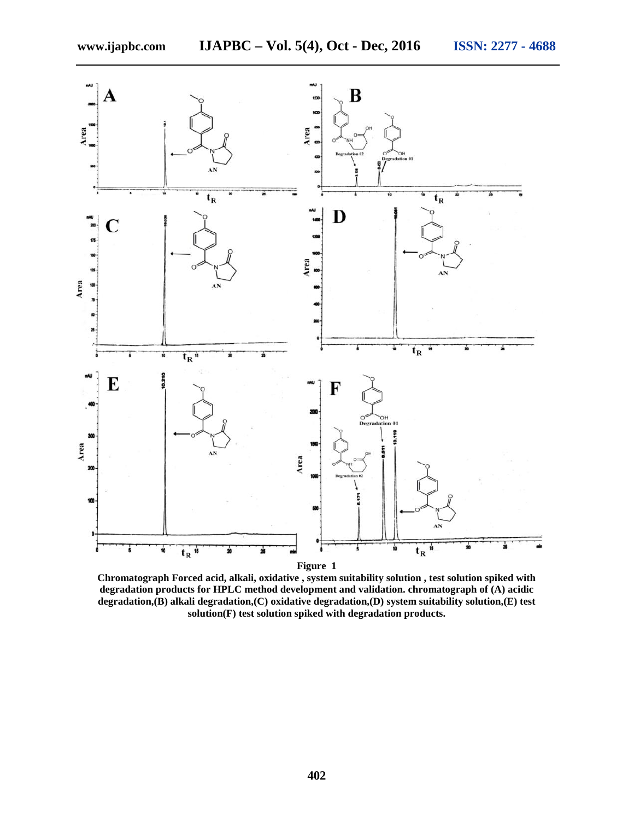

**Chromatograph Forced acid, alkali, oxidative , system suitability solution , test solution spiked with degradation products for HPLC method development and validation. chromatograph of (A) acidic degradation,(B) alkali degradation,(C) oxidative degradation,(D) system suitability solution,(E) test solution(F) test solution spiked with degradation products.**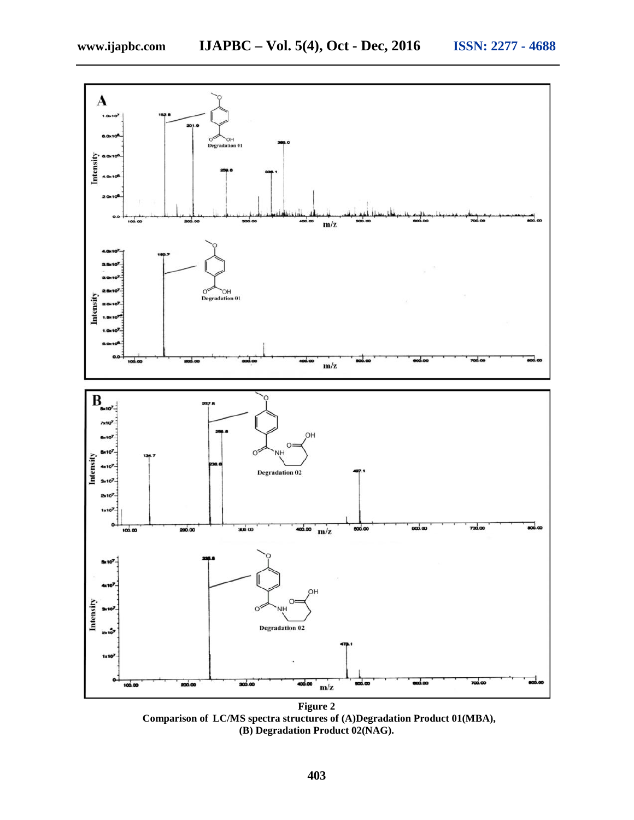



**Figure 2 Comparison of LC/MS spectra structures of (A)Degradation Product 01(MBA), (B) Degradation Product 02(NAG).**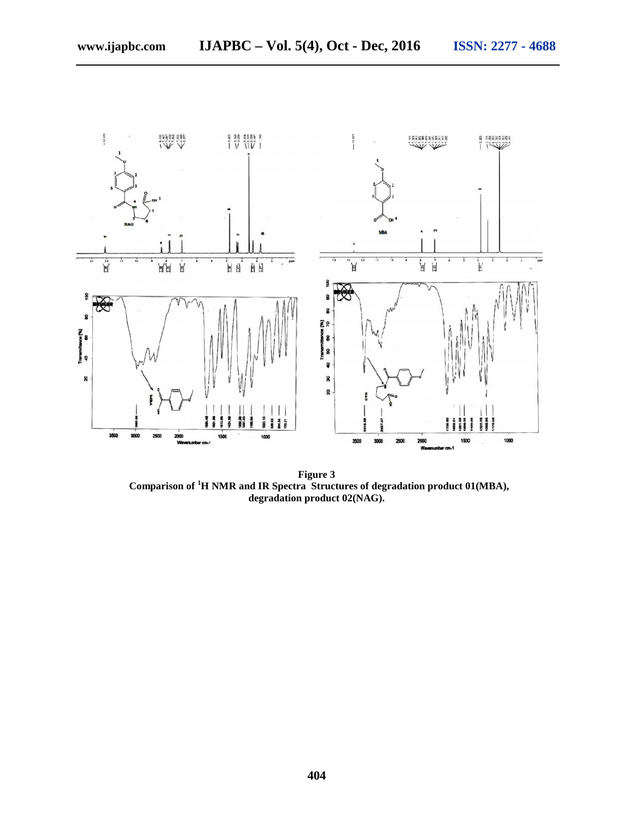

**Figure 3 Comparison of <sup>1</sup>H NMR and IR Spectra Structures of degradation product 01(MBA), degradation product 02(NAG).**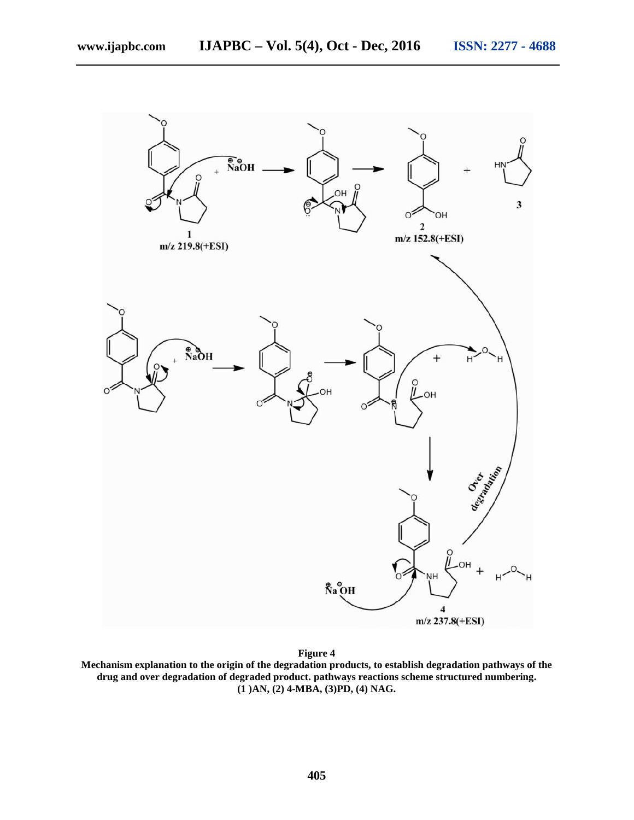

**Figure 4**

**Mechanism explanation to the origin of the degradation products, to establish degradation pathways of the drug and over degradation of degraded product. pathways reactions scheme structured numbering. (1 )AN, (2) 4-MBA, (3)PD, (4) NAG.**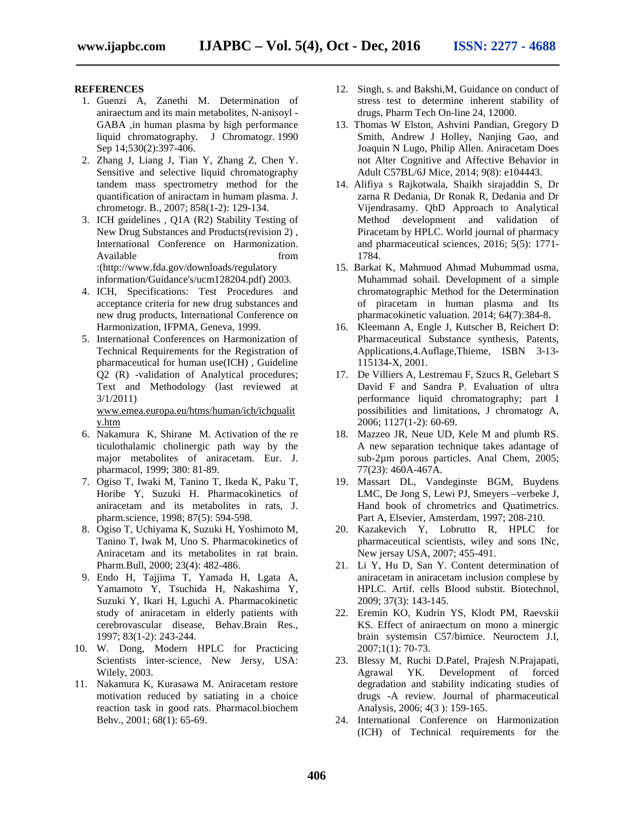#### **REFERENCES**

- 1. Guenzi A, Zanethi M. Determination of aniraectum and its main metabolites, N-anisoyl - GABA ,in human plasma by high performance liquid chromatography. J Chromatogr. 1990 Sep 14;530(2):397-406.
- 2. Zhang J, Liang J, Tian Y, Zhang Z, Chen Y. Sensitive and selective liquid chromatography tandem mass spectrometry method for the quantification of aniractam in humam plasma. J. chrometogr. B., 2007; 858(1-2): 129-134.
- 3. ICH guidelines , Q1A (R2) Stability Testing of New Drug Substances and Products(revision 2) , International Conference on Harmonization. Available from from :(http://www.fda.gov/downloads/regulatory information/Guidance's/ucm128204.pdf) 2003.
- 4. ICH, Specifications: Test Procedures and acceptance criteria for new drug substances and new drug products, International Conference on Harmonization, IFPMA, Geneva, 1999.
- 5. International Conferences on Harmonization of Technical Requirements for the Registration of pharmaceutical for human use(ICH) , Guideline Q2 (R) -validation of Analytical procedures; Text and Methodology (last reviewed at 3/1/2011)

www.emea.europa.eu/htms/human/ich/ichqualit y.htm

- 6. Nakamura K, Shirane M. Activation of the re ticulothalamic cholinergic path way by the major metabolites of aniracetam. Eur. J. pharmacol, 1999; 380: 81-89.
- 7. Ogiso T, Iwaki M, Tanino T, Ikeda K, Paku T, Horibe Y, Suzuki H. Pharmacokinetics of aniracetam and its metabolites in rats, J. pharm.science, 1998; 87(5): 594-598.
- 8. Ogiso T, Uchiyama K, Suzuki H, Yoshimoto M, Tanino T, Iwak M, Uno S. Pharmacokinetics of Aniracetam and its metabolites in rat brain. Pharm.Bull, 2000; 23(4): 482-486.
- 9. Endo H, Tajjima T, Yamada H, Lgata A, Yamamoto Y, Tsuchida H, Nakashima Y, Suzuki Y, Ikari H, Lguchi A. Pharmacokinetic study of aniracetam in elderly patients with cerebrovascular disease, Behav.Brain Res., 1997; 83(1-2): 243-244.
- 10. W. Dong, Modern HPLC for Practicing Scientists inter-science, New Jersy, USA: Wilely, 2003.
- 11. Nakamura K, Kurasawa M. Aniracetam restore motivation reduced by satiating in a choice reaction task in good rats. Pharmacol.biochem Behv., 2001; 68(1): 65-69.
- 12. Singh, s. and Bakshi,M, Guidance on conduct of stress test to determine inherent stability of drugs, Pharm Tech On-line 24, 12000.
- 13. Thomas W Elston, Ashvini Pandian, Gregory D Smith, Andrew J Holley, Nanjing Gao, and Joaquin N Lugo, Philip Allen. Aniracetam Does not Alter Cognitive and Affective Behavior in Adult C57BL/6J Mice, 2014; 9(8): e104443.
- 14. Alifiya s Rajkotwala, Shaikh sirajaddin S, Dr zarna R Dedania, Dr Ronak R, Dedania and Dr Vijendrasamy. QbD Approach to Analytical Method development and validation of Piracetam by HPLC. World journal of pharmacy and pharmaceutical sciences, 2016; 5(5): 1771- 1784.
- 15. Barkat K, Mahmuod Ahmad Muhummad usma, Muhammad sohail. Development of a simple chromatographic Method for the Determination of piracetam in human plasma and Its pharmacokinetic valuation. 2014; 64(7):384-8.
- 16. Kleemann A, Engle J, Kutscher B, Reichert D: Pharmaceutical Substance synthesis, Patents, Applications,4.Auflage,Thieme, ISBN 3-13- 115134-X, 2001.
- 17. De Villiers A, Lestremau F, Szucs R, Gelebart S David F and Sandra P. Evaluation of ultra performance liquid chromatography; part I possibilities and limitations, J chromatogr A, 2006; 1127(1-2): 60-69.
- 18. Mazzeo JR, Neue UD, Kele M and plumb RS. A new separation technique takes adantage of sub-2µm porous particles. Anal Chem, 2005; 77(23): 460A-467A.
- 19. Massart DL, Vandeginste BGM, Buydens LMC, De Jong S, Lewi PJ, Smeyers –verbeke J, Hand book of chrometrics and Quatimetrics. Part A, Elsevier, Amsterdam, 1997; 208-210.
- 20. Kazakevich Y, Lobrutto R, HPLC for pharmaceutical scientists, wiley and sons INc, New jersay USA, 2007; 455-491.
- 21. Li Y, Hu D, San Y. Content determination of aniracetam in aniracetam inclusion complese by HPLC. Artif. cells Blood substit. Biotechnol, 2009; 37(3): 143-145.
- 22. Eremin KO, Kudrin YS, Klodt PM, Raevskii KS. Effect of aniraectum on mono a minergic brain systemsin C57/bimice. Neuroctem J.I, 2007;1(1): 70-73.
- 23. Blessy M, Ruchi D.Patel, Prajesh N.Prajapati, Agrawal YK. Development of forced degradation and stability indicating studies of drugs -A review. Journal of pharmaceutical Analysis, 2006; 4(3 ): 159-165.
- 24. International Conference on Harmonization (ICH) of Technical requirements for the